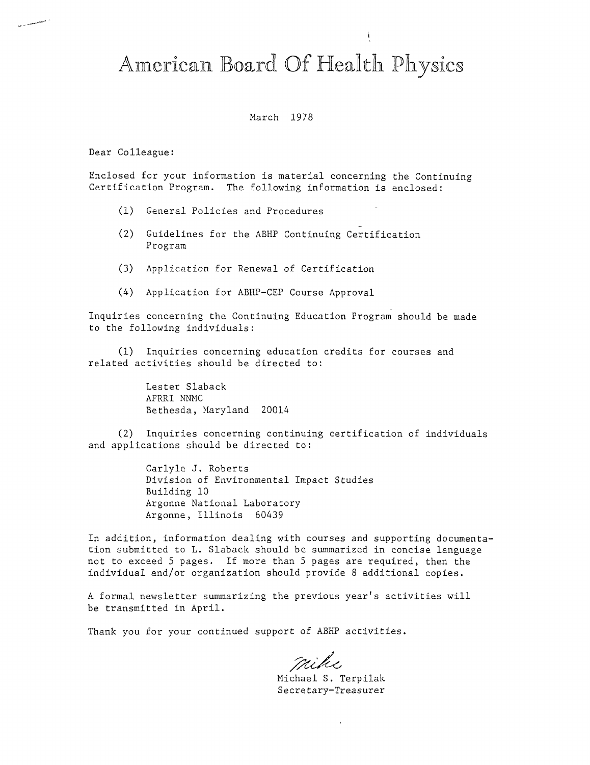# American Board Of Health Physics

#### March 1978

Dear Colleague:

Enclosed for your information is material concerning the Continuing Certification Program. The following information is enclosed:

- (1) General Policies and Procedures
- (2) Guidelines for the ABHP Continuing Certification Program
- (3) Application for Renewal of Certification
- (4) Application for ABHP-CEP Course Approval

Inquiries concerning the Continuing Education Program should be made to the following individuals:

(1) Inquiries concerning education credits for courses and related activities should be directed to:

> Lester Slaback AFRRI NNMC Bethesda, Maryland 20014

(2) Inquiries concerning continuing certification of individuals and applications should be directed to:

> Carlyle J. Roberts Division of Environmental Impact Studies Building 10 Argonne National Laboratory Argonne, Illinois 60439

In addition, information dealing with courses and supporting documentation submitted to L. Slaback should be summarized in concise language not to exceed 5 pages. If more than 5 pages are required, then the individual and/or organization should provide 8 additional copies.

A formal newsletter summarizing the previous year's activities will be transmitted in April.

Thank you for your continued support of ABHP activities.

mike

Michael S. Terpilak Secretary-Treasurer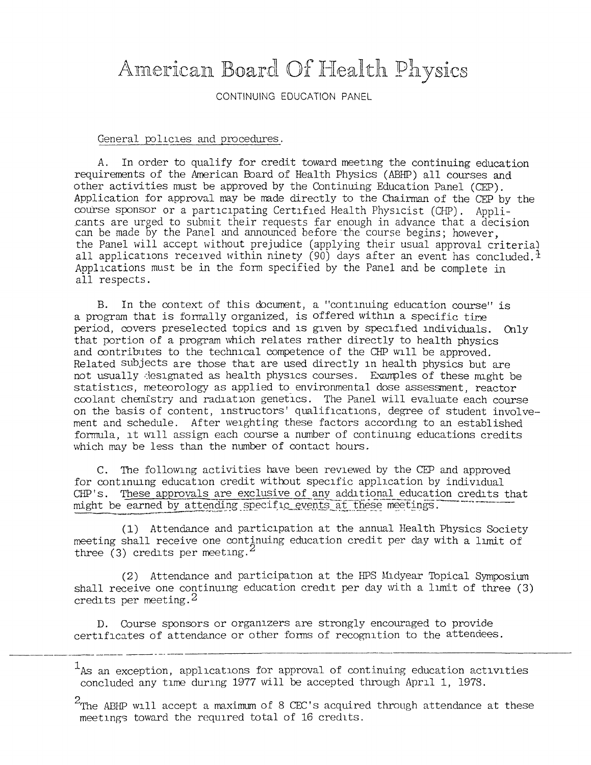## American Board Of Health Physics

CONTINUING EDUCATION PANEL

#### General policies and procedures.

*A.* In order to qualify for credit toward meeting the continuing education requirements of the American Eoard of Health Physics (ABHP) all courses and other activities must be approved by the Continuing Education Panel (CEP). Application for approval may be made directly to the Chairman of the CFP by the course sponsor or a participating Certified Health Physicist (CHP). Appli cants are urged to submit their requests far enough in advance that a decision can be made by the Panel and announced before the course begins; however, the Panel will accept without prejudice (applying their usual approval criteria) all applications received within ninety  $(90)$  days after an event has concluded.<sup>1</sup> Applications must be in the form specified by the Panel and be complete in all respects.

B. In the context of this document, a "continuing education course" is a program that is fonnally organized, is offered within a specific tire period, covers preselected topics and is given by specified individuals. Only that portion of a program which relates rather directly to health physics and contributes to the technical competence of the CHP will be approved. Related subjects are those that are used directly in health physics but are not usually designated as health physics courses. Examples of these might be statistics, meteorology as applied to environmental dose assessment, reactor coola.nt chemistry and radiation genetics. The Panel will evaluate each course on the basis of content, instructors' qualifications, degree of student involvement and schedule. After weighting these factors according to an established formula, it \Vlll assign each course a number of continuing educations credits which may be less than the number of contact hours.

C. The following activities have been reviewed by the CEP and approved for continuing education credit witoout specific application by individual CHP's. These approvals are exclusive of any additional education credits that might be earned by attending specific events at these meetings.

(1) Attendance and participation at the annual Health Physics Society meeting shall receive one continuing education credit per day with a limit of three (3) credits per meeting.<sup>2</sup>

(2) Attendance and participation at the HPS Midyear Topical Symposium shall receive one continuing education credit per day with a limit of three (3) credits per meeting.2

D. Course sponsors or organizers are strongly encouraged to provide certificates of attendance or other fonns of recognition to the attendees.

 $1_A$ s an exception, applications for approval of continuing education activities concluded any time during 1977 will be accepted through April 1, 1978.

 $2$ The ABHP will accept a maximum of 8 CEC's acquired through attendance at these meetings toward the required total of 16 credits.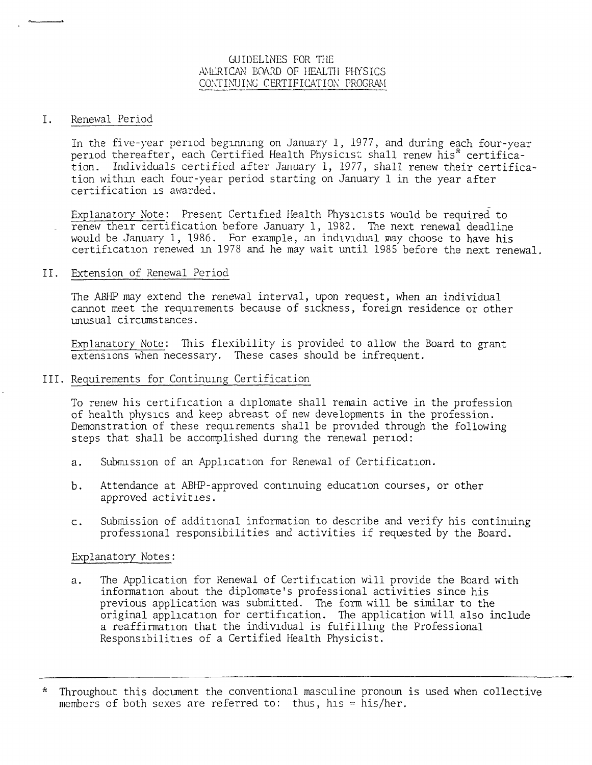## GUIDELlNES FOR THE ANLRICAN BOARD OF HEALTH PHYSICS CONTINUING CERTIFICATION PROGRAM

#### I. Renewal Period

In the five-year period beginning on January 1, 1977, and during each four-year period thereafter, each Certified Health Physicis: shall renew his\* certification. Individuals certified after January 1, 1977, shall renew their certification withm each four-year period starting on January 1 in the year after certification is awarded.

Explanatory Note: Present Certified Health Physicists would be required to renew their certification before January 1, 1982. The next renewal deadline would be January 1, 1986. For example, an ind1v1dual may choose to have his certification renewed in 1978 and he may wait until 1985 before the next renewal.

#### II. Extension of Renewal Period

The ABHP may extend the renewal interval, upon request, when an individual cannot meet the requirements because of sickness, foreign residence or other unusual circumstances.

Explanatory Note: This flexibility is provided to allow the Board to grant extensions when necessary. These cases should be infrequent.

## III. Requirements for Continuing Certification

To renew his certification a diplomate shall remain active in the profession of health physics and keep abreast of new developments in the profession. Demonstration of these requirements shall be provided through the following steps that shall be accomplished during the renewal period:

- a. Submission of an Application for Renewal of Certification.
- b. Attendance at ABHP-approved continuing education courses, or other approved activities.
- c. Submission of additional information to describe and verify his continuing professional responsibilities and activities if requested by the Board.

### Explanatory Notes:

a. The Application for Renewal of Certification will provide the Board with information about the diplomate's professional activities since his previous application was submitted. The form will be similar to the original application for certification. The application will also include a reaffirmation that the individual is fulfilling the Professional Responsibilities of a Certified Health Physicist.

<sup>\*</sup> Throughout this document the conventional masculine pronoun is used when collective members of both sexes are referred to: thus, his = his/her.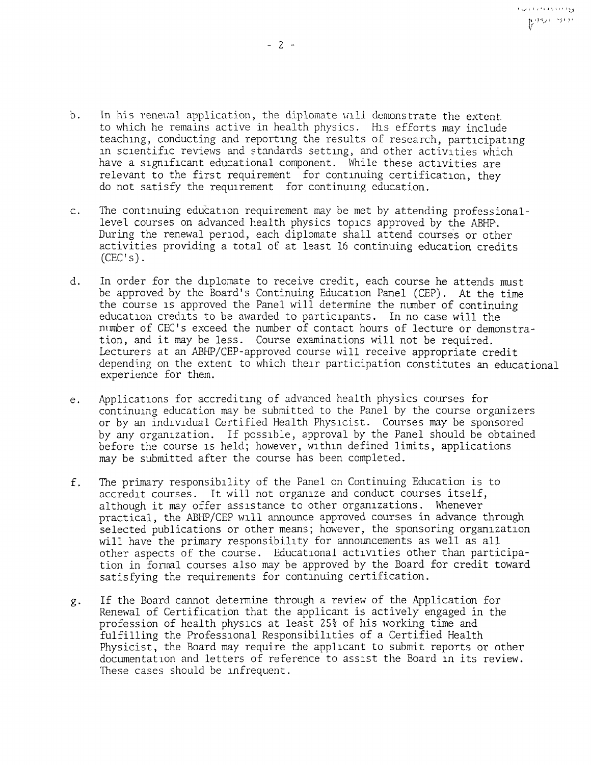- b. In his renewal application, the diplomate will demonstrate the extent to which he remains active in health physics. His efforts may include teaching, conducting and reporting the results of research, participating in scientific reviews and standards setting, and other activities which have a significant educational component. While these activities are relevant to the first requirement for continuing certification, they do not satisfy the requirement for continuing education.
- c. The continuing education requirement may be met by attending professionallevel courses on advanced health physics topics approved by the ABHP. During the renewal period, each diplomate shall attend courses or other activities providing a total of at least 16 continuing education credits  $(CEC's)$ .
- d. In order for the diplomate to receive credit, each course he attends must be approved by the Board's Continuing Education Panel (CEP). At the time the course is approved the Panel will determine the number of continuing education credits to be awarded to participants. In no case will the niunber of CEC's exceed the number of contact hours of lecture or demonstration, and it may be less. Course examinations will not be required. Lecturers at an ABHP/CEP-approved course will receive appropriate credit depending on the extent to which their participation constitutes an educational experience for them.
- e. Applications for accrediting of advanced health physics courses for continuing education may be submitted to the Panel by the course organizers or by an individual Certified Health Physicist. Courses may be sponsored by any organization. If possible, approval by the Panel should be obtained before the course is held; however, within defined limits, applications may be submitted after the course has been completed.
- f. The primary responsibility of the Panel on Continuing Education is to accredit courses. It will not organize and conduct courses itself, although it may offer assistance to other organizations. Whenever practical, the ABHP/CEP will announce approved courses in advance through selected publications or other means; however, the sponsoring organization will have the primary responsibility for announcements as well as all other aspects of the course. Educational activities other than participation in fonnal courses also may be approved by the Board for credit toward satisfying the requirements for continuing certification.
- g. If the Board cannot determine through a review of the Application for Renewal of Certification that the applicant is actively engaged in the profession of health physics at least 25% of his working time and fulfilling the Professional Responsibilities of a Certified Health Physicist, the Board may require the applicant to submit reports or other documentation and letters of reference to assist the Board in its review. These cases should be infrequent.

ووا الطفعة فعاليتها para sin